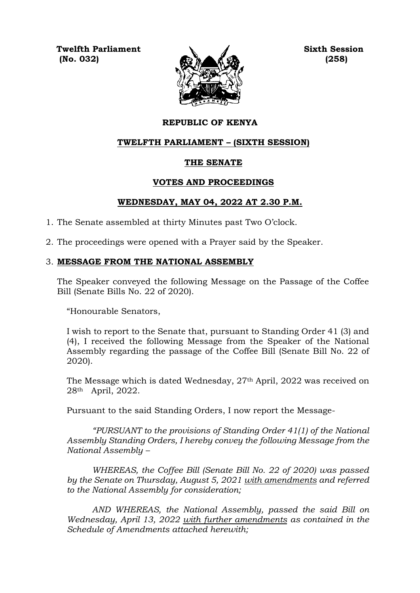**Twelfth Parliament Sixth Session (No. 032) (258)**



# **REPUBLIC OF KENYA**

## **TWELFTH PARLIAMENT – (SIXTH SESSION)**

## **THE SENATE**

## **VOTES AND PROCEEDINGS**

## **WEDNESDAY, MAY 04, 2022 AT 2.30 P.M.**

- 1. The Senate assembled at thirty Minutes past Two O'clock.
- 2. The proceedings were opened with a Prayer said by the Speaker.

## 3. **MESSAGE FROM THE NATIONAL ASSEMBLY**

The Speaker conveyed the following Message on the Passage of the Coffee Bill (Senate Bills No. 22 of 2020).

"Honourable Senators,

I wish to report to the Senate that, pursuant to Standing Order 41 (3) and (4), I received the following Message from the Speaker of the National Assembly regarding the passage of the Coffee Bill (Senate Bill No. 22 of 2020).

The Message which is dated Wednesday, 27th April, 2022 was received on 28th April, 2022.

Pursuant to the said Standing Orders, I now report the Message-

*"PURSUANT to the provisions of Standing Order 41(1) of the National Assembly Standing Orders, I hereby convey the following Message from the National Assembly –*

*WHEREAS, the Coffee Bill (Senate Bill No. 22 of 2020) was passed by the Senate on Thursday, August 5, 2021 with amendments and referred to the National Assembly for consideration;*

*AND WHEREAS, the National Assembly, passed the said Bill on Wednesday, April 13, 2022 with further amendments as contained in the Schedule of Amendments attached herewith;*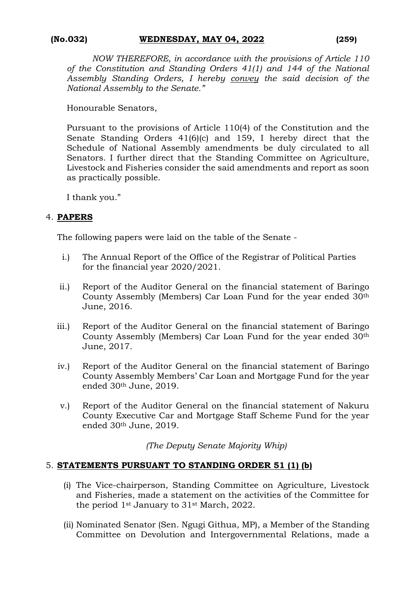*NOW THEREFORE, in accordance with the provisions of Article 110 of the Constitution and Standing Orders 41(1) and 144 of the National Assembly Standing Orders, I hereby convey the said decision of the National Assembly to the Senate."*

Honourable Senators,

Pursuant to the provisions of Article 110(4) of the Constitution and the Senate Standing Orders 41(6)(c) and 159, I hereby direct that the Schedule of National Assembly amendments be duly circulated to all Senators. I further direct that the Standing Committee on Agriculture, Livestock and Fisheries consider the said amendments and report as soon as practically possible.

I thank you."

## 4. **PAPERS**

The following papers were laid on the table of the Senate -

- i.) The Annual Report of the Office of the Registrar of Political Parties for the financial year 2020/2021.
- ii.) Report of the Auditor General on the financial statement of Baringo County Assembly (Members) Car Loan Fund for the year ended 30th June, 2016.
- iii.) Report of the Auditor General on the financial statement of Baringo County Assembly (Members) Car Loan Fund for the year ended 30th June, 2017.
- iv.) Report of the Auditor General on the financial statement of Baringo County Assembly Members' Car Loan and Mortgage Fund for the year ended 30th June, 2019.
- v.) Report of the Auditor General on the financial statement of Nakuru County Executive Car and Mortgage Staff Scheme Fund for the year ended 30th June, 2019.

*(The Deputy Senate Majority Whip)*

## 5. **STATEMENTS PURSUANT TO STANDING ORDER 51 (1) (b)**

- (i) The Vice-chairperson, Standing Committee on Agriculture, Livestock and Fisheries, made a statement on the activities of the Committee for the period 1st January to 31st March, 2022.
- (ii) Nominated Senator (Sen. Ngugi Githua, MP), a Member of the Standing Committee on Devolution and Intergovernmental Relations, made a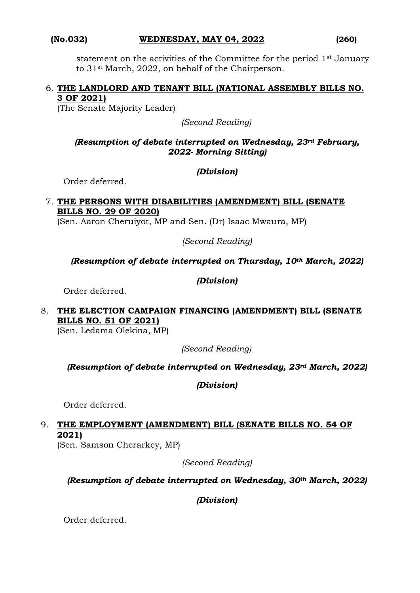statement on the activities of the Committee for the period 1st January to 31st March, 2022, on behalf of the Chairperson.

## 6. **THE LANDLORD AND TENANT BILL (NATIONAL ASSEMBLY BILLS NO. 3 OF 2021)**

(The Senate Majority Leader)

*(Second Reading)*

## *(Resumption of debate interrupted on Wednesday, 23rd February, 2022- Morning Sitting)*

## *(Division)*

Order deferred.

# 7. **THE PERSONS WITH DISABILITIES (AMENDMENT) BILL (SENATE BILLS NO. 29 OF 2020)**

(Sen. Aaron Cheruiyot, MP and Sen. (Dr) Isaac Mwaura, MP)

*(Second Reading)*

# *(Resumption of debate interrupted on Thursday, 10th March, 2022)*

## *(Division)*

Order deferred.

# 8. **THE ELECTION CAMPAIGN FINANCING (AMENDMENT) BILL (SENATE BILLS NO. 51 OF 2021)**

(Sen. Ledama Olekina, MP)

*(Second Reading)*

# *(Resumption of debate interrupted on Wednesday, 23rd March, 2022)*

# *(Division)*

Order deferred.

# 9. **THE EMPLOYMENT (AMENDMENT) BILL (SENATE BILLS NO. 54 OF 2021)**

(Sen. Samson Cherarkey, MP)

*(Second Reading)*

# *(Resumption of debate interrupted on Wednesday, 30th March, 2022)*

*(Division)*

Order deferred.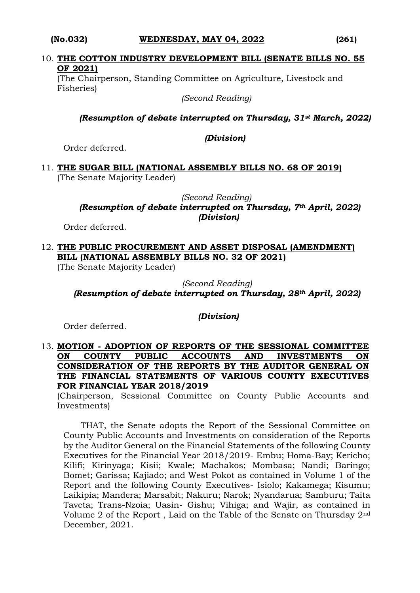## **(No.032) WEDNESDAY, MAY 04, 2022 (261)**

#### 10. **THE COTTON INDUSTRY DEVELOPMENT BILL (SENATE BILLS NO. 55 OF 2021)**

(The Chairperson, Standing Committee on Agriculture, Livestock and Fisheries)

*(Second Reading)*

## *(Resumption of debate interrupted on Thursday, 31st March, 2022)*

## *(Division)*

Order deferred.

11. **THE SUGAR BILL (NATIONAL ASSEMBLY BILLS NO. 68 OF 2019)** (The Senate Majority Leader)

> *(Second Reading) (Resumption of debate interrupted on Thursday, 7th April, 2022) (Division)*

Order deferred.

12. **THE PUBLIC PROCUREMENT AND ASSET DISPOSAL (AMENDMENT) BILL (NATIONAL ASSEMBLY BILLS NO. 32 OF 2021)**

(The Senate Majority Leader)

*(Second Reading) (Resumption of debate interrupted on Thursday, 28th April, 2022)* 

## *(Division)*

Order deferred.

## 13. **MOTION - ADOPTION OF REPORTS OF THE SESSIONAL COMMITTEE ON COUNTY PUBLIC ACCOUNTS AND INVESTMENTS ON CONSIDERATION OF THE REPORTS BY THE AUDITOR GENERAL ON THE FINANCIAL STATEMENTS OF VARIOUS COUNTY EXECUTIVES FOR FINANCIAL YEAR 2018/2019**

(Chairperson, Sessional Committee on County Public Accounts and Investments)

THAT, the Senate adopts the Report of the Sessional Committee on County Public Accounts and Investments on consideration of the Reports by the Auditor General on the Financial Statements of the following County Executives for the Financial Year 2018/2019- Embu; Homa-Bay; Kericho; Kilifi; Kirinyaga; Kisii; Kwale; Machakos; Mombasa; Nandi; Baringo; Bomet; Garissa; Kajiado; and West Pokot as contained in Volume 1 of the Report and the following County Executives- Isiolo; Kakamega; Kisumu; Laikipia; Mandera; Marsabit; Nakuru; Narok; Nyandarua; Samburu; Taita Taveta; Trans-Nzoia; Uasin- Gishu; Vihiga; and Wajir, as contained in Volume 2 of the Report , Laid on the Table of the Senate on Thursday 2nd December, 2021.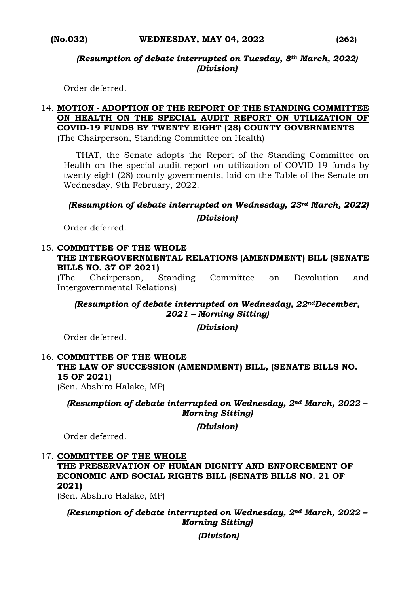*(Resumption of debate interrupted on Tuesday, 8th March, 2022) (Division)*

Order deferred.

# 14. **MOTION - ADOPTION OF THE REPORT OF THE STANDING COMMITTEE ON HEALTH ON THE SPECIAL AUDIT REPORT ON UTILIZATION OF COVID-19 FUNDS BY TWENTY EIGHT (28) COUNTY GOVERNMENTS**

(The Chairperson, Standing Committee on Health)

THAT, the Senate adopts the Report of the Standing Committee on Health on the special audit report on utilization of COVID-19 funds by twenty eight (28) county governments, laid on the Table of the Senate on Wednesday, 9th February, 2022.

# *(Resumption of debate interrupted on Wednesday, 23rd March, 2022)*

*(Division)*

Order deferred.

# 15. **COMMITTEE OF THE WHOLE**

## **THE INTERGOVERNMENTAL RELATIONS (AMENDMENT) BILL (SENATE BILLS NO. 37 OF 2021)**

(The Chairperson, Standing Committee on Devolution and Intergovernmental Relations)

*(Resumption of debate interrupted on Wednesday, 22ndDecember, 2021 – Morning Sitting)*

*(Division)*

Order deferred.

# 16. **COMMITTEE OF THE WHOLE THE LAW OF SUCCESSION (AMENDMENT) BILL, (SENATE BILLS NO. 15 OF 2021)**

(Sen. Abshiro Halake, MP)

*(Resumption of debate interrupted on Wednesday, 2nd March, 2022 – Morning Sitting)*

*(Division)*

Order deferred.

# 17. **COMMITTEE OF THE WHOLE**

**THE PRESERVATION OF HUMAN DIGNITY AND ENFORCEMENT OF ECONOMIC AND SOCIAL RIGHTS BILL (SENATE BILLS NO. 21 OF 2021)** 

(Sen. Abshiro Halake, MP)

*(Resumption of debate interrupted on Wednesday, 2nd March, 2022 – Morning Sitting)* 

*(Division)*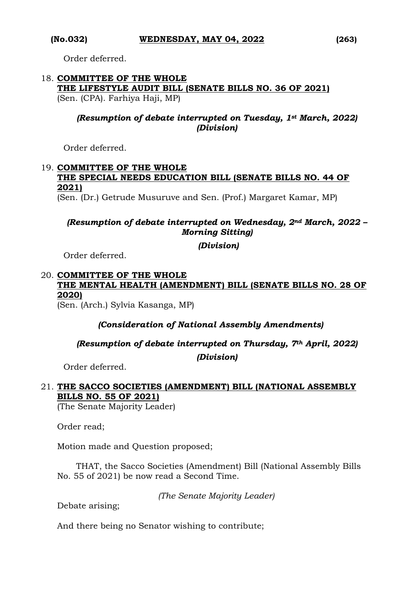Order deferred.

# 18. **COMMITTEE OF THE WHOLE THE LIFESTYLE AUDIT BILL (SENATE BILLS NO. 36 OF 2021)**  (Sen. (CPA). Farhiya Haji, MP)

# *(Resumption of debate interrupted on Tuesday, 1st March, 2022) (Division)*

Order deferred.

# 19. **COMMITTEE OF THE WHOLE THE SPECIAL NEEDS EDUCATION BILL (SENATE BILLS NO. 44 OF 2021)**

(Sen. (Dr.) Getrude Musuruve and Sen. (Prof.) Margaret Kamar, MP)

# *(Resumption of debate interrupted on Wednesday, 2nd March, 2022 – Morning Sitting)*

*(Division)*

Order deferred.

# 20. **COMMITTEE OF THE WHOLE THE MENTAL HEALTH (AMENDMENT) BILL (SENATE BILLS NO. 28 OF 2020)**

(Sen. (Arch.) Sylvia Kasanga, MP)

# *(Consideration of National Assembly Amendments)*

*(Resumption of debate interrupted on Thursday, 7th April, 2022)*

*(Division)*

Order deferred.

# 21. **THE SACCO SOCIETIES (AMENDMENT) BILL (NATIONAL ASSEMBLY BILLS NO. 55 OF 2021)**

(The Senate Majority Leader)

Order read;

Motion made and Question proposed;

THAT, the Sacco Societies (Amendment) Bill (National Assembly Bills No. 55 of 2021) be now read a Second Time.

*(The Senate Majority Leader)*

Debate arising;

And there being no Senator wishing to contribute;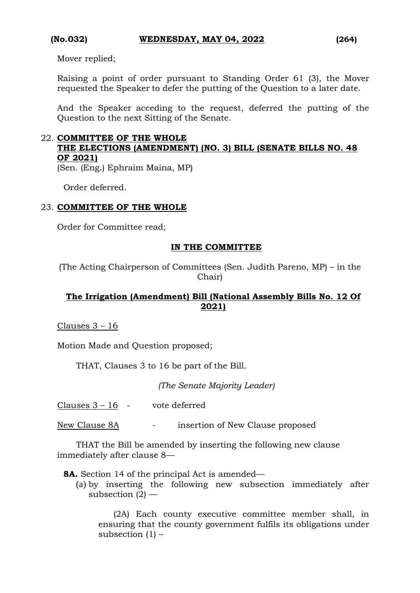Mover replied;

Raising a point of order pursuant to Standing Order 61 (3), the Mover requested the Speaker to defer the putting of the Question to a later date.

And the Speaker acceding to the request, deferred the putting of the Question to the next Sitting of the Senate.

## 22. **COMMITTEE OF THE WHOLE THE ELECTIONS (AMENDMENT) (NO. 3) BILL (SENATE BILLS NO. 48 OF 2021)**

(Sen. (Eng.) Ephraim Maina, MP)

Order deferred.

## 23. **COMMITTEE OF THE WHOLE**

Order for Committee read;

## **IN THE COMMITTEE**

(The Acting Chairperson of Committees (Sen. Judith Pareno, MP) – in the Chair)

# **The Irrigation (Amendment) Bill (National Assembly Bills No. 12 Of 2021)**

Clauses 3 – 16

Motion Made and Question proposed;

THAT, Clauses 3 to 16 be part of the Bill.

*(The Senate Majority Leader)*

Clauses 3 – 16 - vote deferred

New Clause 8A - insertion of New Clause proposed

THAT the Bill be amended by inserting the following new clause immediately after clause 8—

**8A.** Section 14 of the principal Act is amended—

(a) by inserting the following new subsection immediately after subsection  $(2)$  —

(2A) Each county executive committee member shall, in ensuring that the county government fulfils its obligations under subsection  $(1)$  –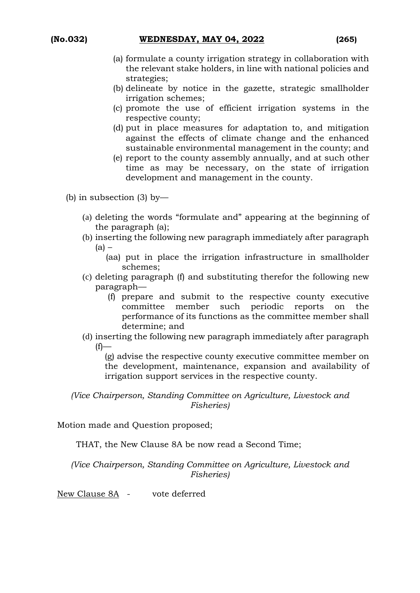- (a) formulate a county irrigation strategy in collaboration with the relevant stake holders, in line with national policies and strategies;
- (b) delineate by notice in the gazette, strategic smallholder irrigation schemes;
- (c) promote the use of efficient irrigation systems in the respective county;
- (d) put in place measures for adaptation to, and mitigation against the effects of climate change and the enhanced sustainable environmental management in the county; and
- (e) report to the county assembly annually, and at such other time as may be necessary, on the state of irrigation development and management in the county.
- (b) in subsection (3) by—
	- (a) deleting the words "formulate and" appearing at the beginning of the paragraph (a);
	- (b) inserting the following new paragraph immediately after paragraph  $(a)$  –
		- (aa) put in place the irrigation infrastructure in smallholder schemes;
	- (c) deleting paragraph (f) and substituting therefor the following new paragraph—
		- (f) prepare and submit to the respective county executive committee member such periodic reports on the performance of its functions as the committee member shall determine; and
	- (d) inserting the following new paragraph immediately after paragraph  $(f)$ —

(g) advise the respective county executive committee member on the development, maintenance, expansion and availability of irrigation support services in the respective county.

*(Vice Chairperson, Standing Committee on Agriculture, Livestock and Fisheries)*

Motion made and Question proposed;

THAT, the New Clause 8A be now read a Second Time;

*(Vice Chairperson, Standing Committee on Agriculture, Livestock and Fisheries)*

New Clause 8A - vote deferred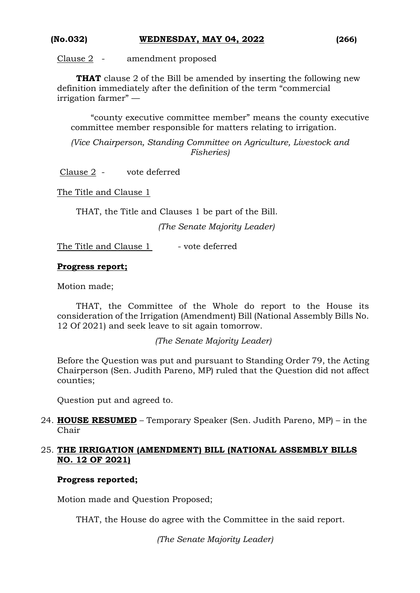Clause 2 - amendment proposed

**THAT** clause 2 of the Bill be amended by inserting the following new definition immediately after the definition of the term "commercial irrigation farmer" —

"county executive committee member" means the county executive committee member responsible for matters relating to irrigation.

*(Vice Chairperson, Standing Committee on Agriculture, Livestock and Fisheries)*

Clause 2 - vote deferred

The Title and Clause 1

THAT, the Title and Clauses 1 be part of the Bill.

*(The Senate Majority Leader)*

The Title and Clause 1 - vote deferred

## **Progress report;**

Motion made;

THAT, the Committee of the Whole do report to the House its consideration of the Irrigation (Amendment) Bill (National Assembly Bills No. 12 Of 2021) and seek leave to sit again tomorrow.

*(The Senate Majority Leader)*

Before the Question was put and pursuant to Standing Order 79, the Acting Chairperson (Sen. Judith Pareno, MP) ruled that the Question did not affect counties;

Question put and agreed to.

24. **HOUSE RESUMED** – Temporary Speaker (Sen. Judith Pareno, MP) – in the Chair

## 25. **THE IRRIGATION (AMENDMENT) BILL (NATIONAL ASSEMBLY BILLS NO. 12 OF 2021)**

#### **Progress reported;**

Motion made and Question Proposed;

THAT, the House do agree with the Committee in the said report.

*(The Senate Majority Leader)*